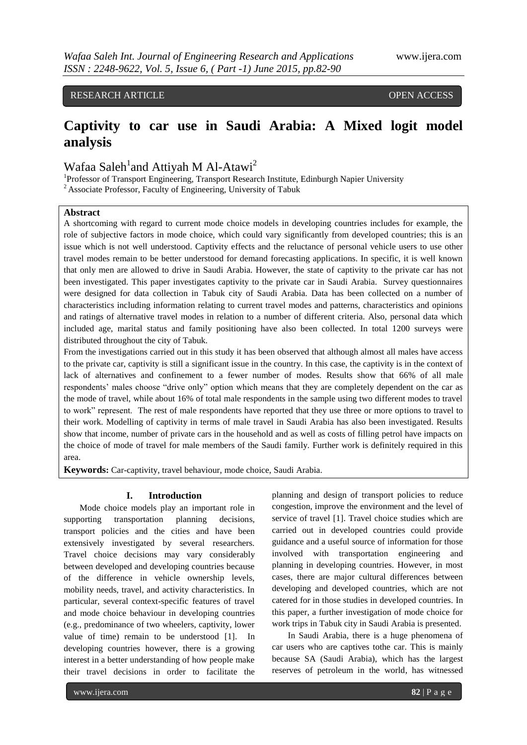# RESEARCH ARTICLE **CONSERVERS** OPEN ACCESS

# **Captivity to car use in Saudi Arabia: A Mixed logit model analysis**

Wafaa Saleh<sup>1</sup>and Attiyah M Al-Atawi<sup>2</sup>

<sup>1</sup>Professor of Transport Engineering, Transport Research Institute, Edinburgh Napier University <sup>2</sup> Associate Professor, Faculty of Engineering, University of Tabuk

## **Abstract**

A shortcoming with regard to current mode choice models in developing countries includes for example, the role of subjective factors in mode choice, which could vary significantly from developed countries; this is an issue which is not well understood. Captivity effects and the reluctance of personal vehicle users to use other travel modes remain to be better understood for demand forecasting applications. In specific, it is well known that only men are allowed to drive in Saudi Arabia. However, the state of captivity to the private car has not been investigated. This paper investigates captivity to the private car in Saudi Arabia. Survey questionnaires were designed for data collection in Tabuk city of Saudi Arabia. Data has been collected on a number of characteristics including information relating to current travel modes and patterns, characteristics and opinions and ratings of alternative travel modes in relation to a number of different criteria. Also, personal data which included age, marital status and family positioning have also been collected. In total 1200 surveys were distributed throughout the city of Tabuk.

From the investigations carried out in this study it has been observed that although almost all males have access to the private car, captivity is still a significant issue in the country. In this case, the captivity is in the context of lack of alternatives and confinement to a fewer number of modes. Results show that 66% of all male respondents' males choose "drive only" option which means that they are completely dependent on the car as the mode of travel, while about 16% of total male respondents in the sample using two different modes to travel to work" represent. The rest of male respondents have reported that they use three or more options to travel to their work. Modelling of captivity in terms of male travel in Saudi Arabia has also been investigated. Results show that income, number of private cars in the household and as well as costs of filling petrol have impacts on the choice of mode of travel for male members of the Saudi family. Further work is definitely required in this area.

**Keywords:** Car-captivity, travel behaviour, mode choice, Saudi Arabia.

#### **I. Introduction**

Mode choice models play an important role in supporting transportation planning decisions, transport policies and the cities and have been extensively investigated by several researchers. Travel choice decisions may vary considerably between developed and developing countries because of the difference in vehicle ownership levels, mobility needs, travel, and activity characteristics. In particular, several context-specific features of travel and mode choice behaviour in developing countries (e.g., predominance of two wheelers, captivity, lower value of time) remain to be understood [1]. In developing countries however, there is a growing interest in a better understanding of how people make their travel decisions in order to facilitate the

planning and design of transport policies to reduce congestion, improve the environment and the level of service of travel [1]. Travel choice studies which are carried out in developed countries could provide guidance and a useful source of information for those involved with transportation engineering and planning in developing countries. However, in most cases, there are major cultural differences between developing and developed countries, which are not catered for in those studies in developed countries. In this paper, a further investigation of mode choice for work trips in Tabuk city in Saudi Arabia is presented.

In Saudi Arabia, there is a huge phenomena of car users who are captives tothe car. This is mainly because SA (Saudi Arabia), which has the largest reserves of petroleum in the world, has witnessed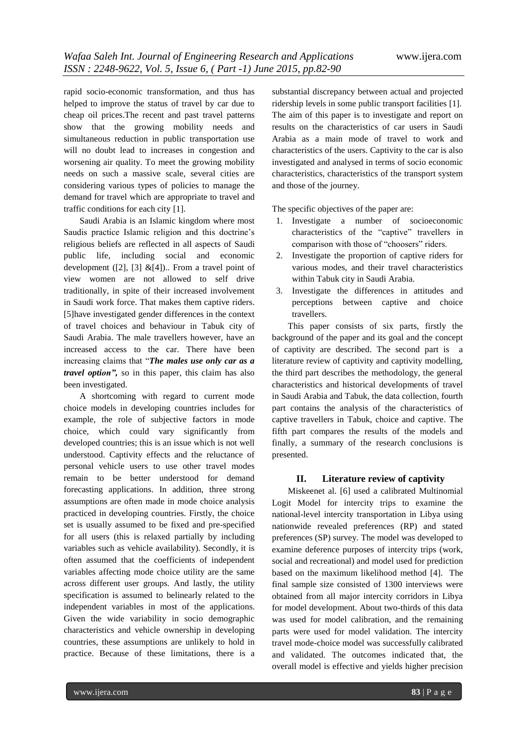rapid socio-economic transformation, and thus has helped to improve the status of travel by car due to cheap oil prices.The recent and past travel patterns show that the growing mobility needs and simultaneous reduction in public transportation use will no doubt lead to increases in congestion and worsening air quality. To meet the growing mobility needs on such a massive scale, several cities are considering various types of policies to manage the demand for travel which are appropriate to travel and traffic conditions for each city [1].

Saudi Arabia is an Islamic kingdom where most Saudis practice Islamic religion and this doctrine's religious beliefs are reflected in all aspects of Saudi public life, including social and economic development ([2], [3]  $&[4]$ ).. From a travel point of view women are not allowed to self drive traditionally, in spite of their increased involvement in Saudi work force. That makes them captive riders. [5]have investigated gender differences in the context of travel choices and behaviour in Tabuk city of Saudi Arabia. The male travellers however, have an increased access to the car. There have been increasing claims that "*The males use only car as a travel option",* so in this paper, this claim has also been investigated.

A shortcoming with regard to current mode choice models in developing countries includes for example, the role of subjective factors in mode choice, which could vary significantly from developed countries; this is an issue which is not well understood. Captivity effects and the reluctance of personal vehicle users to use other travel modes remain to be better understood for demand forecasting applications. In addition, three strong assumptions are often made in mode choice analysis practiced in developing countries. Firstly, the choice set is usually assumed to be fixed and pre-specified for all users (this is relaxed partially by including variables such as vehicle availability). Secondly, it is often assumed that the coefficients of independent variables affecting mode choice utility are the same across different user groups. And lastly, the utility specification is assumed to belinearly related to the independent variables in most of the applications. Given the wide variability in socio demographic characteristics and vehicle ownership in developing countries, these assumptions are unlikely to hold in practice. Because of these limitations, there is a

substantial discrepancy between actual and projected ridership levels in some public transport facilities [1]. The aim of this paper is to investigate and report on results on the characteristics of car users in Saudi Arabia as a main mode of travel to work and characteristics of the users. Captivity to the car is also investigated and analysed in terms of socio economic characteristics, characteristics of the transport system and those of the journey.

The specific objectives of the paper are:

- 1. Investigate a number of socioeconomic characteristics of the "captive" travellers in comparison with those of "choosers" riders.
- 2. Investigate the proportion of captive riders for various modes, and their travel characteristics within Tabuk city in Saudi Arabia.
- 3. Investigate the differences in attitudes and perceptions between captive and choice travellers.

This paper consists of six parts, firstly the background of the paper and its goal and the concept of captivity are described. The second part is a literature review of captivity and captivity modelling, the third part describes the methodology, the general characteristics and historical developments of travel in Saudi Arabia and Tabuk, the data collection, fourth part contains the analysis of the characteristics of captive travellers in Tabuk, choice and captive. The fifth part compares the results of the models and finally, a summary of the research conclusions is presented.

# **II. Literature review of captivity**

Miskeenet al. [6] used a calibrated Multinomial Logit Model for intercity trips to examine the national-level intercity transportation in Libya using nationwide revealed preferences (RP) and stated preferences (SP) survey. The model was developed to examine deference purposes of intercity trips (work, social and recreational) and model used for prediction based on the maximum likelihood method [4]. The final sample size consisted of 1300 interviews were obtained from all major intercity corridors in Libya for model development. About two-thirds of this data was used for model calibration, and the remaining parts were used for model validation. The intercity travel mode-choice model was successfully calibrated and validated. The outcomes indicated that, the overall model is effective and yields higher precision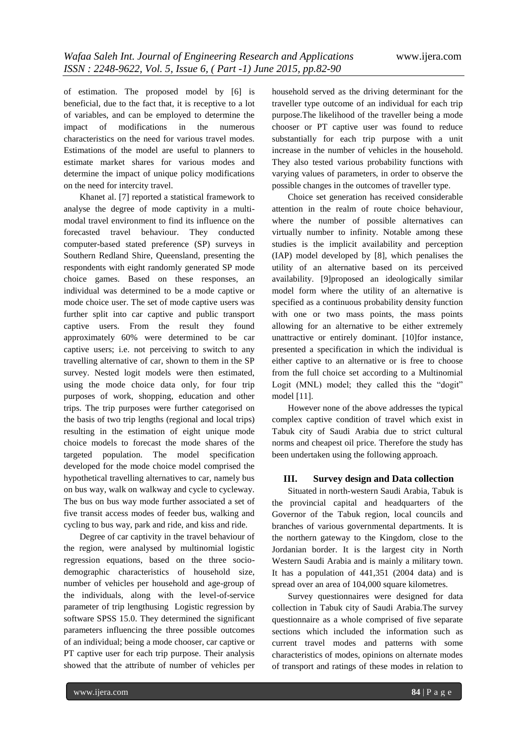of estimation. The proposed model by [6] is beneficial, due to the fact that, it is receptive to a lot of variables, and can be employed to determine the impact of modifications in the numerous characteristics on the need for various travel modes. Estimations of the model are useful to planners to estimate market shares for various modes and determine the impact of unique policy modifications on the need for intercity travel.

Khanet al. [7] reported a statistical framework to analyse the degree of mode captivity in a multimodal travel environment to find its influence on the forecasted travel behaviour. They conducted computer-based stated preference (SP) surveys in Southern Redland Shire, Queensland, presenting the respondents with eight randomly generated SP mode choice games. Based on these responses, an individual was determined to be a mode captive or mode choice user. The set of mode captive users was further split into car captive and public transport captive users. From the result they found approximately 60% were determined to be car captive users; i.e. not perceiving to switch to any travelling alternative of car, shown to them in the SP survey. Nested logit models were then estimated, using the mode choice data only, for four trip purposes of work, shopping, education and other trips. The trip purposes were further categorised on the basis of two trip lengths (regional and local trips) resulting in the estimation of eight unique mode choice models to forecast the mode shares of the targeted population. The model specification developed for the mode choice model comprised the hypothetical travelling alternatives to car, namely bus on bus way, walk on walkway and cycle to cycleway. The bus on bus way mode further associated a set of five transit access modes of feeder bus, walking and cycling to bus way, park and ride, and kiss and ride.

Degree of car captivity in the travel behaviour of the region, were analysed by multinomial logistic regression equations, based on the three sociodemographic characteristics of household size, number of vehicles per household and age-group of the individuals, along with the level-of-service parameter of trip lengthusing Logistic regression by software SPSS 15.0. They determined the significant parameters influencing the three possible outcomes of an individual; being a mode chooser, car captive or PT captive user for each trip purpose. Their analysis showed that the attribute of number of vehicles per

household served as the driving determinant for the traveller type outcome of an individual for each trip purpose.The likelihood of the traveller being a mode chooser or PT captive user was found to reduce substantially for each trip purpose with a unit increase in the number of vehicles in the household. They also tested various probability functions with varying values of parameters, in order to observe the possible changes in the outcomes of traveller type.

Choice set generation has received considerable attention in the realm of route choice behaviour, where the number of possible alternatives can virtually number to infinity. Notable among these studies is the implicit availability and perception (IAP) model developed by [8], which penalises the utility of an alternative based on its perceived availability. [9]proposed an ideologically similar model form where the utility of an alternative is specified as a continuous probability density function with one or two mass points, the mass points allowing for an alternative to be either extremely unattractive or entirely dominant. [10]for instance, presented a specification in which the individual is either captive to an alternative or is free to choose from the full choice set according to a Multinomial Logit (MNL) model; they called this the "dogit" model [11].

However none of the above addresses the typical complex captive condition of travel which exist in Tabuk city of Saudi Arabia due to strict cultural norms and cheapest oil price. Therefore the study has been undertaken using the following approach.

# **III. Survey design and Data collection**

Situated in north-western Saudi Arabia, Tabuk is the provincial capital and headquarters of the Governor of the Tabuk region, local councils and branches of various governmental departments. It is the northern gateway to the Kingdom, close to the Jordanian border. It is the largest city in North Western Saudi Arabia and is mainly a military town. It has a population of 441,351 (2004 data) and is spread over an area of 104,000 square kilometres.

Survey questionnaires were designed for data collection in Tabuk city of Saudi Arabia.The survey questionnaire as a whole comprised of five separate sections which included the information such as current travel modes and patterns with some characteristics of modes, opinions on alternate modes of transport and ratings of these modes in relation to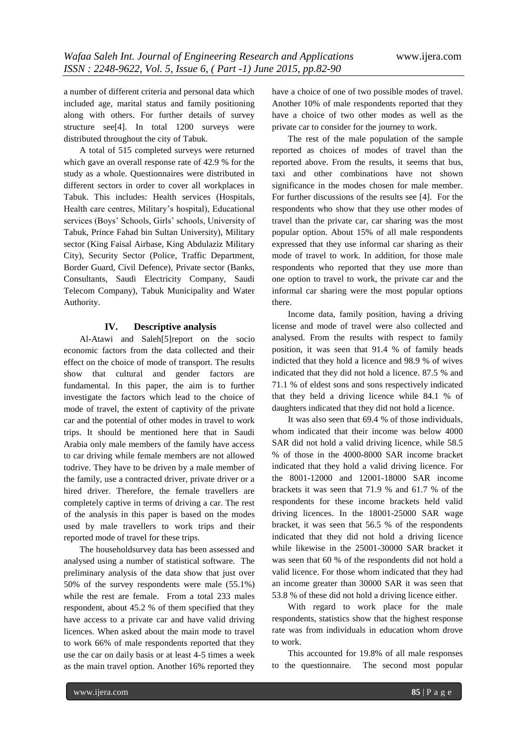a number of different criteria and personal data which included age, marital status and family positioning along with others. For further details of survey structure see[4]. In total 1200 surveys were distributed throughout the city of Tabuk.

A total of 515 completed surveys were returned which gave an overall response rate of 42.9 % for the study as a whole. Questionnaires were distributed in different sectors in order to cover all workplaces in Tabuk. This includes: Health services (Hospitals, Health care centres, Military's hospital), Educational services (Boys' Schools, Girls' schools, University of Tabuk, Prince Fahad bin Sultan University), Military sector (King Faisal Airbase, King Abdulaziz Military City), Security Sector (Police, Traffic Department, Border Guard, Civil Defence), Private sector (Banks, Consultants, Saudi Electricity Company, Saudi Telecom Company), Tabuk Municipality and Water Authority.

#### **IV. Descriptive analysis**

Al-Atawi and Saleh[5]report on the socio economic factors from the data collected and their effect on the choice of mode of transport. The results show that cultural and gender factors are fundamental. In this paper, the aim is to further investigate the factors which lead to the choice of mode of travel, the extent of captivity of the private car and the potential of other modes in travel to work trips. It should be mentioned here that in Saudi Arabia only male members of the family have access to car driving while female members are not allowed todrive. They have to be driven by a male member of the family, use a contracted driver, private driver or a hired driver. Therefore, the female travellers are completely captive in terms of driving a car. The rest of the analysis in this paper is based on the modes used by male travellers to work trips and their reported mode of travel for these trips.

The householdsurvey data has been assessed and analysed using a number of statistical software. The preliminary analysis of the data show that just over 50% of the survey respondents were male (55.1%) while the rest are female. From a total 233 males respondent, about 45.2 % of them specified that they have access to a private car and have valid driving licences. When asked about the main mode to travel to work 66% of male respondents reported that they use the car on daily basis or at least 4-5 times a week as the main travel option. Another 16% reported they

have a choice of one of two possible modes of travel. Another 10% of male respondents reported that they have a choice of two other modes as well as the private car to consider for the journey to work.

The rest of the male population of the sample reported as choices of modes of travel than the reported above. From the results, it seems that bus, taxi and other combinations have not shown significance in the modes chosen for male member. For further discussions of the results see [4]. For the respondents who show that they use other modes of travel than the private car, car sharing was the most popular option. About 15% of all male respondents expressed that they use informal car sharing as their mode of travel to work. In addition, for those male respondents who reported that they use more than one option to travel to work, the private car and the informal car sharing were the most popular options there.

Income data, family position, having a driving license and mode of travel were also collected and analysed. From the results with respect to family position, it was seen that 91.4 % of family heads indicted that they hold a licence and 98.9 % of wives indicated that they did not hold a licence. 87.5 % and 71.1 % of eldest sons and sons respectively indicated that they held a driving licence while 84.1 % of daughters indicated that they did not hold a licence.

It was also seen that 69.4 % of those individuals, whom indicated that their income was below 4000 SAR did not hold a valid driving licence, while 58.5 % of those in the 4000-8000 SAR income bracket indicated that they hold a valid driving licence. For the 8001-12000 and 12001-18000 SAR income brackets it was seen that 71.9 % and 61.7 % of the respondents for these income brackets held valid driving licences. In the 18001-25000 SAR wage bracket, it was seen that 56.5 % of the respondents indicated that they did not hold a driving licence while likewise in the 25001-30000 SAR bracket it was seen that 60 % of the respondents did not hold a valid licence. For those whom indicated that they had an income greater than 30000 SAR it was seen that 53.8 % of these did not hold a driving licence either.

With regard to work place for the male respondents, statistics show that the highest response rate was from individuals in education whom drove to work.

This accounted for 19.8% of all male responses to the questionnaire. The second most popular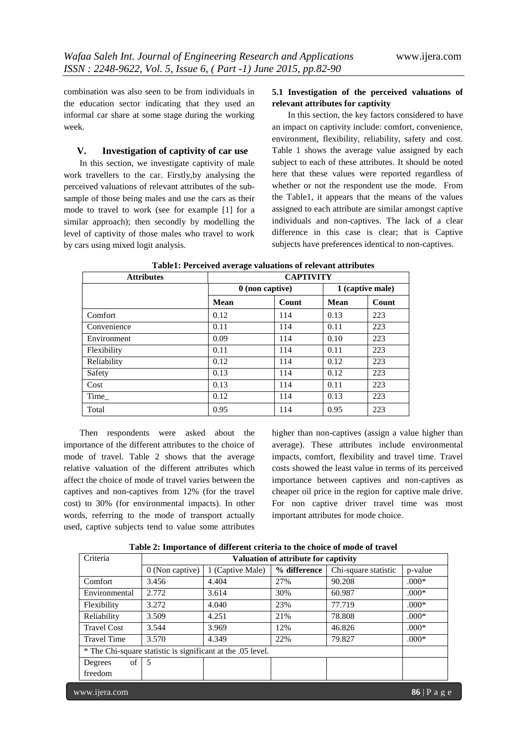combination was also seen to be from individuals in the education sector indicating that they used an informal car share at some stage during the working week.

## **V. Investigation of captivity of car use**

In this section, we investigate captivity of male work travellers to the car. Firstly,by analysing the perceived valuations of relevant attributes of the subsample of those being males and use the cars as their mode to travel to work (see for example [1] for a similar approach); then secondly by modelling the level of captivity of those males who travel to work by cars using mixed logit analysis.

# **5.1 Investigation of the perceived valuations of relevant attributes for captivity**

In this section, the key factors considered to have an impact on captivity include: comfort, convenience, environment, flexibility, reliability, safety and cost. Table 1 shows the average value assigned by each subject to each of these attributes. It should be noted here that these values were reported regardless of whether or not the respondent use the mode. From the Table1, it appears that the means of the values assigned to each attribute are similar amongst captive individuals and non-captives. The lack of a clear difference in this case is clear; that is Captive subjects have preferences identical to non-captives.

| <b>Attributes</b> | <b>CAPTIVITY</b>  |       |                  |       |
|-------------------|-------------------|-------|------------------|-------|
|                   | $0$ (non captive) |       | 1 (captive male) |       |
|                   | <b>Mean</b>       | Count | Mean             | Count |
| Comfort           | 0.12              | 114   | 0.13             | 223   |
| Convenience       | 0.11              | 114   | 0.11             | 223   |
| Environment       | 0.09              | 114   | 0.10             | 223   |
| Flexibility       | 0.11              | 114   | 0.11             | 223   |
| Reliability       | 0.12              | 114   | 0.12             | 223   |
| Safety            | 0.13              | 114   | 0.12             | 223   |
| Cost              | 0.13              | 114   | 0.11             | 223   |
| Time              | 0.12              | 114   | 0.13             | 223   |
| Total             | 0.95              | 114   | 0.95             | 223   |

**Table1: Perceived average valuations of relevant attributes**

Then respondents were asked about the importance of the different attributes to the choice of mode of travel. Table 2 shows that the average relative valuation of the different attributes which affect the choice of mode of travel varies between the captives and non-captives from 12% (for the travel cost) to 30% (for environmental impacts). In other words, referring to the mode of transport actually used, captive subjects tend to value some attributes

higher than non-captives (assign a value higher than average). These attributes include environmental impacts, comfort, flexibility and travel time. Travel costs showed the least value in terms of its perceived importance between captives and non-captives as cheaper oil price in the region for captive male drive. For non captive driver travel time was most important attributes for mode choice.

| Table 2: Importance of different criteria to the choice of mode of travel |  |  |
|---------------------------------------------------------------------------|--|--|
|---------------------------------------------------------------------------|--|--|

| Criteria                                                    | Valuation of attribute for captivity |                  |              |                      |                              |
|-------------------------------------------------------------|--------------------------------------|------------------|--------------|----------------------|------------------------------|
|                                                             | $0$ (Non captive)                    | 1 (Captive Male) | % difference | Chi-square statistic | p-value                      |
| Comfort                                                     | 3.456                                | 4.404            | 27%          | 90.208               | $.000*$                      |
| Environmental                                               | 2.772                                | 3.614            | 30%          | 60.987               | $.000*$                      |
| Flexibility                                                 | 3.272                                | 4.040            | 23%          | 77.719               | $.000*$                      |
| Reliability                                                 | 3.509                                | 4.251            | 21%          | 78.808               | $.000*$                      |
| <b>Travel Cost</b>                                          | 3.544                                | 3.969            | 12%          | 46.826               | $.000*$                      |
| <b>Travel Time</b>                                          | 3.570                                | 4.349            | 22%          | 79.827               | $.000*$                      |
| * The Chi-square statistic is significant at the .05 level. |                                      |                  |              |                      |                              |
| of 1<br>Degrees                                             | 5                                    |                  |              |                      |                              |
| freedom                                                     |                                      |                  |              |                      |                              |
| www.ijera.com                                               |                                      |                  |              |                      | $86 \mid P \text{ a } g \in$ |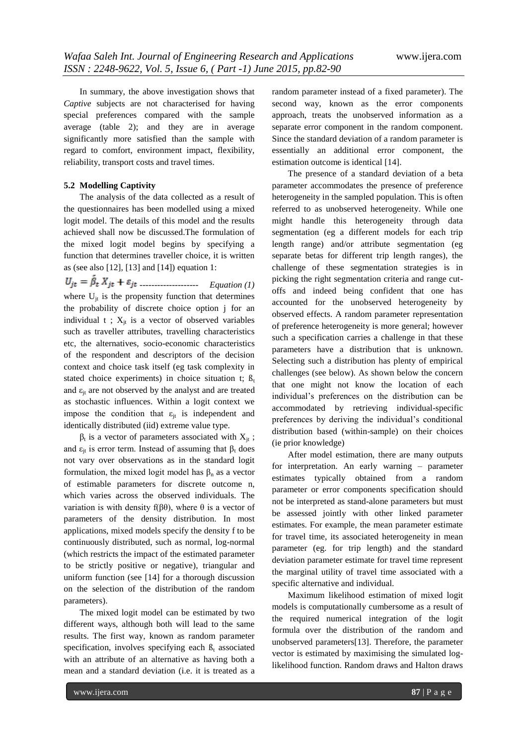In summary, the above investigation shows that *Captive* subjects are not characterised for having special preferences compared with the sample average (table 2); and they are in average significantly more satisfied than the sample with regard to comfort, environment impact, flexibility, reliability, transport costs and travel times.

#### **5.2 Modelling Captivity**

The analysis of the data collected as a result of the questionnaires has been modelled using a mixed logit model. The details of this model and the results achieved shall now be discussed.The formulation of the mixed logit model begins by specifying a function that determines traveller choice, it is written as (see also [12], [13] and [14]) equation 1:

-------------------- *Equation (1)* where  $U_{it}$  is the propensity function that determines the probability of discrete choice option j for an individual  $t$ ;  $X_{it}$  is a vector of observed variables such as traveller attributes, travelling characteristics etc, the alternatives, socio-economic characteristics of the respondent and descriptors of the decision context and choice task itself (eg task complexity in stated choice experiments) in choice situation t;  $\beta_t$ and  $\varepsilon_{it}$  are not observed by the analyst and are treated as stochastic influences. Within a logit context we impose the condition that  $\varepsilon_{it}$  is independent and identically distributed (iid) extreme value type.

 $β_t$  is a vector of parameters associated with  $X_{jt}$ ; and  $\varepsilon_{it}$  is error term. Instead of assuming that  $\beta_t$  does not vary over observations as in the standard logit formulation, the mixed logit model has  $\beta_n$  as a vector of estimable parameters for discrete outcome n, which varies across the observed individuals. The variation is with density f(βθ), where θ is a vector of parameters of the density distribution. In most applications, mixed models specify the density f to be continuously distributed, such as normal, log-normal (which restricts the impact of the estimated parameter to be strictly positive or negative), triangular and uniform function (see [14] for a thorough discussion on the selection of the distribution of the random parameters).

The mixed logit model can be estimated by two different ways, although both will lead to the same results. The first way, known as random parameter specification, involves specifying each  $\beta_t$  associated with an attribute of an alternative as having both a mean and a standard deviation (i.e. it is treated as a

random parameter instead of a fixed parameter). The second way, known as the error components approach, treats the unobserved information as a separate error component in the random component. Since the standard deviation of a random parameter is essentially an additional error component, the estimation outcome is identical [14].

The presence of a standard deviation of a beta parameter accommodates the presence of preference heterogeneity in the sampled population. This is often referred to as unobserved heterogeneity. While one might handle this heterogeneity through data segmentation (eg a different models for each trip length range) and/or attribute segmentation (eg separate betas for different trip length ranges), the challenge of these segmentation strategies is in picking the right segmentation criteria and range cutoffs and indeed being confident that one has accounted for the unobserved heterogeneity by observed effects. A random parameter representation of preference heterogeneity is more general; however such a specification carries a challenge in that these parameters have a distribution that is unknown. Selecting such a distribution has plenty of empirical challenges (see below). As shown below the concern that one might not know the location of each individual's preferences on the distribution can be accommodated by retrieving individual-specific preferences by deriving the individual's conditional distribution based (within-sample) on their choices (ie prior knowledge)

After model estimation, there are many outputs for interpretation. An early warning – parameter estimates typically obtained from a random parameter or error components specification should not be interpreted as stand-alone parameters but must be assessed jointly with other linked parameter estimates. For example, the mean parameter estimate for travel time, its associated heterogeneity in mean parameter (eg. for trip length) and the standard deviation parameter estimate for travel time represent the marginal utility of travel time associated with a specific alternative and individual.

Maximum likelihood estimation of mixed logit models is computationally cumbersome as a result of the required numerical integration of the logit formula over the distribution of the random and unobserved parameters[13]. Therefore, the parameter vector is estimated by maximising the simulated loglikelihood function. Random draws and Halton draws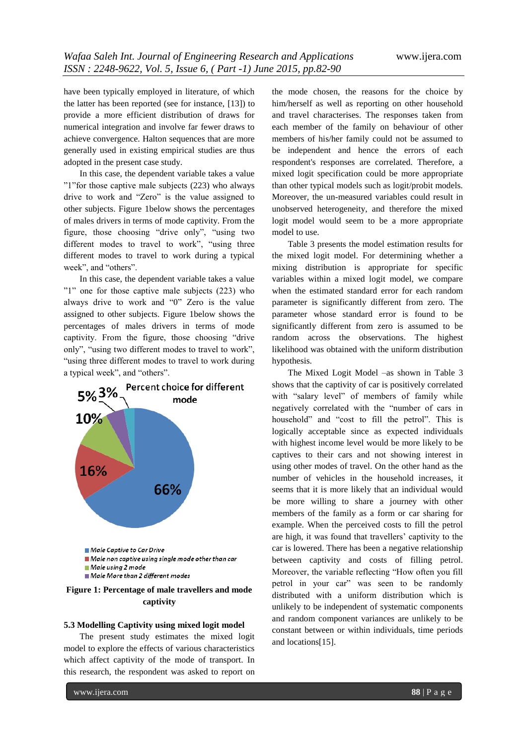have been typically employed in literature, of which the latter has been reported (see for instance, [13]) to provide a more efficient distribution of draws for numerical integration and involve far fewer draws to achieve convergence. Halton sequences that are more generally used in existing empirical studies are thus adopted in the present case study.

In this case, the dependent variable takes a value "1"for those captive male subjects (223) who always drive to work and "Zero" is the value assigned to other subjects. Figure 1below shows the percentages of males drivers in terms of mode captivity. From the figure, those choosing "drive only", "using two different modes to travel to work", "using three different modes to travel to work during a typical week", and "others".

In this case, the dependent variable takes a value "1" one for those captive male subjects (223) who always drive to work and "0" Zero is the value assigned to other subjects. Figure 1below shows the percentages of males drivers in terms of mode captivity. From the figure, those choosing "drive only", "using two different modes to travel to work", "using three different modes to travel to work during a typical week", and "others".



**Figure 1: Percentage of male travellers and mode captivity**

#### **5.3 Modelling Captivity using mixed logit model**

The present study estimates the mixed logit model to explore the effects of various characteristics which affect captivity of the mode of transport. In this research, the respondent was asked to report on

the mode chosen, the reasons for the choice by him/herself as well as reporting on other household and travel characterises. The responses taken from each member of the family on behaviour of other members of his/her family could not be assumed to be independent and hence the errors of each respondent's responses are correlated. Therefore, a mixed logit specification could be more appropriate than other typical models such as logit/probit models. Moreover, the un-measured variables could result in unobserved heterogeneity, and therefore the mixed logit model would seem to be a more appropriate model to use.

Table 3 presents the model estimation results for the mixed logit model. For determining whether a mixing distribution is appropriate for specific variables within a mixed logit model, we compare when the estimated standard error for each random parameter is significantly different from zero. The parameter whose standard error is found to be significantly different from zero is assumed to be random across the observations. The highest likelihood was obtained with the uniform distribution hypothesis.

The Mixed Logit Model –as shown in Table 3 shows that the captivity of car is positively correlated with "salary level" of members of family while negatively correlated with the "number of cars in household" and "cost to fill the petrol". This is logically acceptable since as expected individuals with highest income level would be more likely to be captives to their cars and not showing interest in using other modes of travel. On the other hand as the number of vehicles in the household increases, it seems that it is more likely that an individual would be more willing to share a journey with other members of the family as a form or car sharing for example. When the perceived costs to fill the petrol are high, it was found that travellers' captivity to the car is lowered. There has been a negative relationship between captivity and costs of filling petrol. Moreover, the variable reflecting "How often you fill petrol in your car" was seen to be randomly distributed with a uniform distribution which is unlikely to be independent of systematic components and random component variances are unlikely to be constant between or within individuals, time periods and locations[15].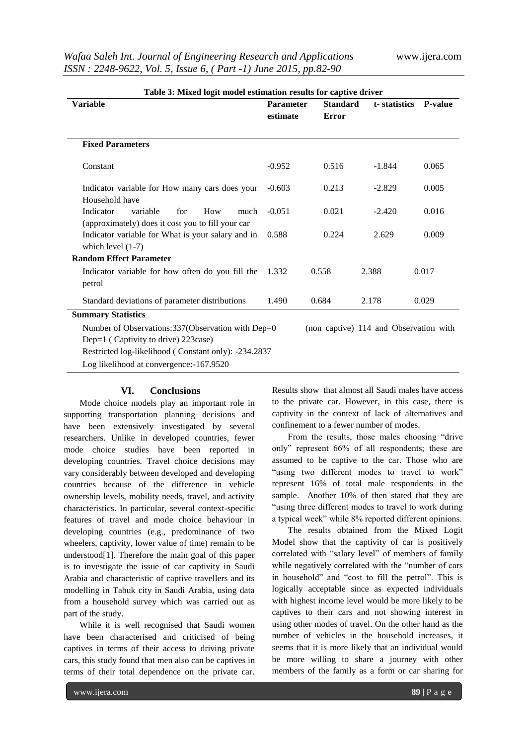| Table 3: Mixed logit model estimation results for captive driver                                 |                  |                                        |              |                |  |  |
|--------------------------------------------------------------------------------------------------|------------------|----------------------------------------|--------------|----------------|--|--|
| <b>Variable</b>                                                                                  | <b>Parameter</b> | <b>Standard</b>                        | t-statistics | <b>P-value</b> |  |  |
|                                                                                                  | estimate         | Error                                  |              |                |  |  |
|                                                                                                  |                  |                                        |              |                |  |  |
| <b>Fixed Parameters</b>                                                                          |                  |                                        |              |                |  |  |
| Constant                                                                                         | $-0.952$         | 0.516                                  | $-1.844$     | 0.065          |  |  |
| Indicator variable for How many cars does your<br>Household have                                 | $-0.603$         | 0.213                                  | $-2.829$     | 0.005          |  |  |
| Indicator<br>variable<br>for<br>How<br>much<br>(approximately) does it cost you to fill your car | $-0.051$         | 0.021                                  | $-2.420$     | 0.016          |  |  |
| Indicator variable for What is your salary and in<br>which level $(1-7)$                         | 0.588            | 0.224                                  | 2.629        | 0.009          |  |  |
| <b>Random Effect Parameter</b>                                                                   |                  |                                        |              |                |  |  |
| Indicator variable for how often do you fill the<br>petrol                                       | 1.332            | 0.558                                  | 2.388        | 0.017          |  |  |
| Standard deviations of parameter distributions                                                   | 1.490            | 0.684                                  | 2.178        | 0.029          |  |  |
| <b>Summary Statistics</b>                                                                        |                  |                                        |              |                |  |  |
| Number of Observations:337(Observation with Dep=0                                                |                  | (non captive) 114 and Observation with |              |                |  |  |
| Dep=1 (Captivity to drive) 223 case)                                                             |                  |                                        |              |                |  |  |
| Restricted log-likelihood (Constant only): -234.2837                                             |                  |                                        |              |                |  |  |
| Log likelihood at convergence:-167.9520                                                          |                  |                                        |              |                |  |  |

## **VI. Conclusions**

Mode choice models play an important role in supporting transportation planning decisions and have been extensively investigated by several researchers. Unlike in developed countries, fewer mode choice studies have been reported in developing countries. Travel choice decisions may vary considerably between developed and developing countries because of the difference in vehicle ownership levels, mobility needs, travel, and activity characteristics. In particular, several context-specific features of travel and mode choice behaviour in developing countries (e.g., predominance of two wheelers, captivity, lower value of time) remain to be understood[1]. Therefore the main goal of this paper is to investigate the issue of car captivity in Saudi Arabia and characteristic of captive travellers and its modelling in Tabuk city in Saudi Arabia, using data from a household survey which was carried out as part of the study.

While it is well recognised that Saudi women have been characterised and criticised of being captives in terms of their access to driving private cars, this study found that men also can be captives in terms of their total dependence on the private car.

Results show that almost all Saudi males have access to the private car. However, in this case, there is captivity in the context of lack of alternatives and confinement to a fewer number of modes.

From the results, those males choosing "drive only" represent 66% of all respondents; these are assumed to be captive to the car. Those who are "using two different modes to travel to work" represent 16% of total male respondents in the sample. Another 10% of then stated that they are "using three different modes to travel to work during a typical week" while 8% reported different opinions.

The results obtained from the Mixed Logit Model show that the captivity of car is positively correlated with "salary level" of members of family while negatively correlated with the "number of cars in household" and "cost to fill the petrol". This is logically acceptable since as expected individuals with highest income level would be more likely to be captives to their cars and not showing interest in using other modes of travel. On the other hand as the number of vehicles in the household increases, it seems that it is more likely that an individual would be more willing to share a journey with other members of the family as a form or car sharing for